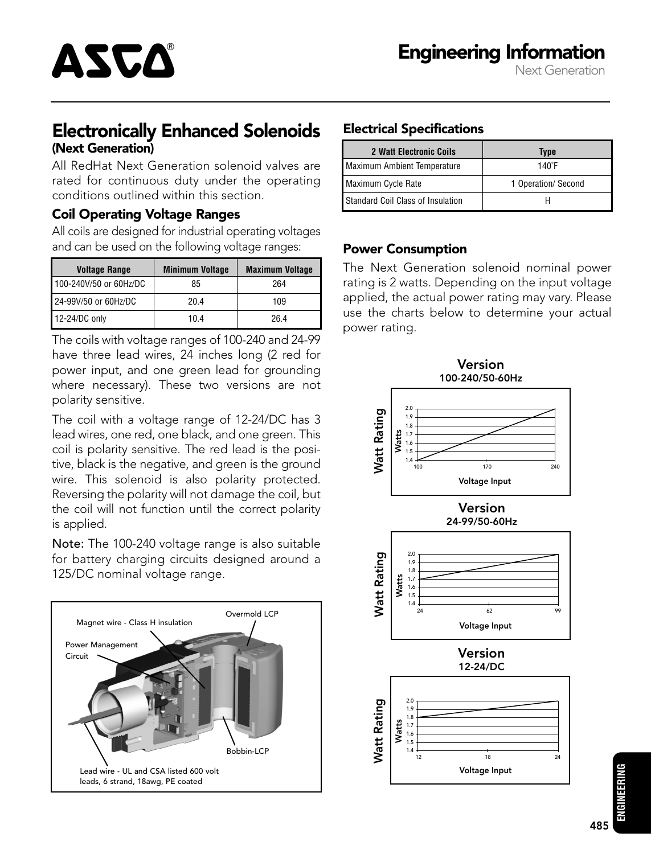# Electronically Enhanced Solenoids (Next Generation)

All RedHat Next Generation solenoid valves are rated for continuous duty under the operating conditions outlined within this section.

#### Coil Operating Voltage Ranges

ASCA®

All coils are designed for industrial operating voltages and can be used on the following voltage ranges:

| <b>Voltage Range</b>   | <b>Minimum Voltage</b> | <b>Maximum Voltage</b> |  |
|------------------------|------------------------|------------------------|--|
| 100-240V/50 or 60Hz/DC | 85                     | 264                    |  |
| 24-99V/50 or 60Hz/DC   | 20.4                   | 109                    |  |
| 12-24/DC only          | 10.4                   | 26.4                   |  |

The coils with voltage ranges of 100-240 and 24-99 have three lead wires, 24 inches long (2 red for power input, and one green lead for grounding where necessary). These two versions are not polarity sensitive.

The coil with a voltage range of 12-24/DC has 3 lead wires, one red, one black, and one green. This coil is polarity sensitive. The red lead is the positive, black is the negative, and green is the ground wire. This solenoid is also polarity protected. Reversing the polarity will not damage the coil, but the coil will not function until the correct polarity is applied.

Note: The 100-240 voltage range is also suitable for battery charging circuits designed around a 125/DC nominal voltage range.



## Electrical Specifications

| 2 Watt Electronic Coils           | <b>Type</b>         |  |
|-----------------------------------|---------------------|--|
| Maximum Ambient Temperature       | $140^\circ F$       |  |
| Maximum Cycle Rate                | 1 Operation/ Second |  |
| Standard Coil Class of Insulation |                     |  |

### Power Consumption

The Next Generation solenoid nominal power rating is 2 watts. Depending on the input voltage applied, the actual power rating may vary. Please use the charts below to determine your actual power rating.

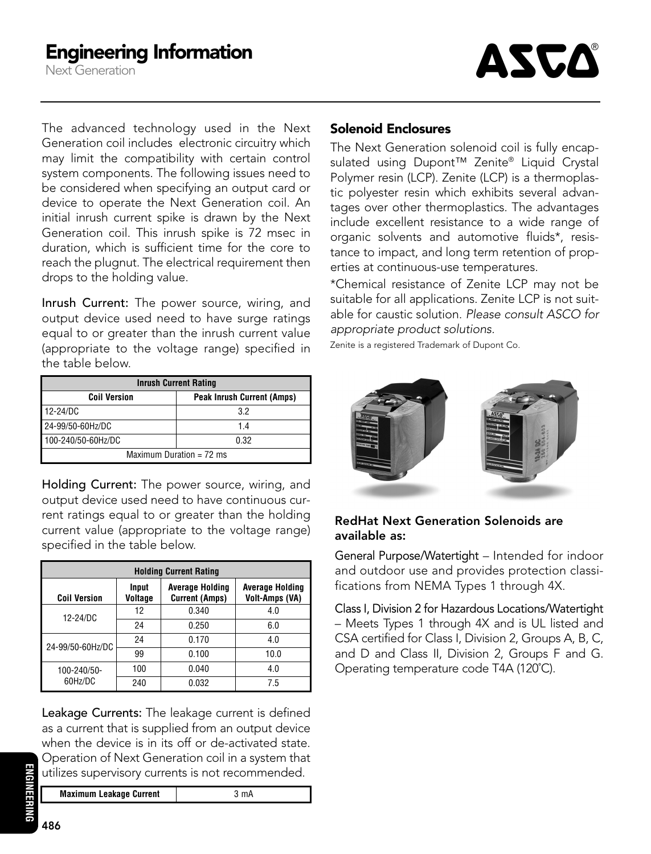Next Generation



The advanced technology used in the Next Generation coil includes electronic circuitry which may limit the compatibility with certain control system components. The following issues need to be considered when specifying an output card or device to operate the Next Generation coil. An initial inrush current spike is drawn by the Next Generation coil. This inrush spike is 72 msec in duration, which is sufficient time for the core to reach the plugnut. The electrical requirement then drops to the holding value.

Inrush Current: The power source, wiring, and output device used need to have surge ratings equal to or greater than the inrush current value (appropriate to the voltage range) specified in the table below.

| <b>Inrush Current Rating</b> |                                   |  |  |
|------------------------------|-----------------------------------|--|--|
| <b>Coil Version</b>          | <b>Peak Inrush Current (Amps)</b> |  |  |
| 12-24/DC                     | 32                                |  |  |
| 24-99/50-60Hz/DC             | 1.4                               |  |  |
| 100-240/50-60Hz/DC           | 0.32                              |  |  |
| Maximum Duration = $72$ ms   |                                   |  |  |

Holding Current: The power source, wiring, and output device used need to have continuous current ratings equal to or greater than the holding current value (appropriate to the voltage range) specified in the table below.

| <b>Holding Current Rating</b> |                  |                                                 |                                                 |  |  |
|-------------------------------|------------------|-------------------------------------------------|-------------------------------------------------|--|--|
| <b>Coil Version</b>           | Input<br>Voltage | <b>Average Holding</b><br><b>Current (Amps)</b> | <b>Average Holding</b><br><b>Volt-Amps (VA)</b> |  |  |
| $12 - 24/DC$                  | 12               | 0.340                                           | 4.0                                             |  |  |
|                               | 24               | 0.250                                           | 6.0                                             |  |  |
| 24-99/50-60Hz/DC              | 24               | 0.170                                           | 4.0                                             |  |  |
|                               | 99               | 0.100                                           | 10.0                                            |  |  |
| 100-240/50-                   | 100              | 0.040                                           | 4.0                                             |  |  |
| 60Hz/DC                       | 240              | 0.032                                           | 7.5                                             |  |  |

Leakage Currents: The leakage current is defined as a current that is supplied from an output device when the device is in its off or de-activated state. Operation of Next Generation coil in a system that utilizes supervisory currents is not recommended.

**Maximum Leakage Current**  $\frac{1}{3}$  mA

#### Solenoid Enclosures

The Next Generation solenoid coil is fully encapsulated using Dupont™ Zenite® Liquid Crystal Polymer resin (LCP). Zenite (LCP) is a thermoplastic polyester resin which exhibits several advantages over other thermoplastics. The advantages include excellent resistance to a wide range of organic solvents and automotive fluids\*, resistance to impact, and long term retention of properties at continuous-use temperatures.

\*Chemical resistance of Zenite LCP may not be suitable for all applications. Zenite LCP is not suitable for caustic solution. Please consult ASCO for appropriate product solutions.

Zenite is a registered Trademark of Dupont Co.



#### RedHat Next Generation Solenoids are available as:

General Purpose/Watertight – Intended for indoor and outdoor use and provides protection classifications from NEMA Types 1 through 4X.

Class I, Division 2 for Hazardous Locations/Watertight – Meets Types 1 through 4X and is UL listed and CSA certified for Class I, Division 2, Groups A, B, C, and D and Class II, Division 2, Groups F and G. Operating temperature code T4A (120˚C).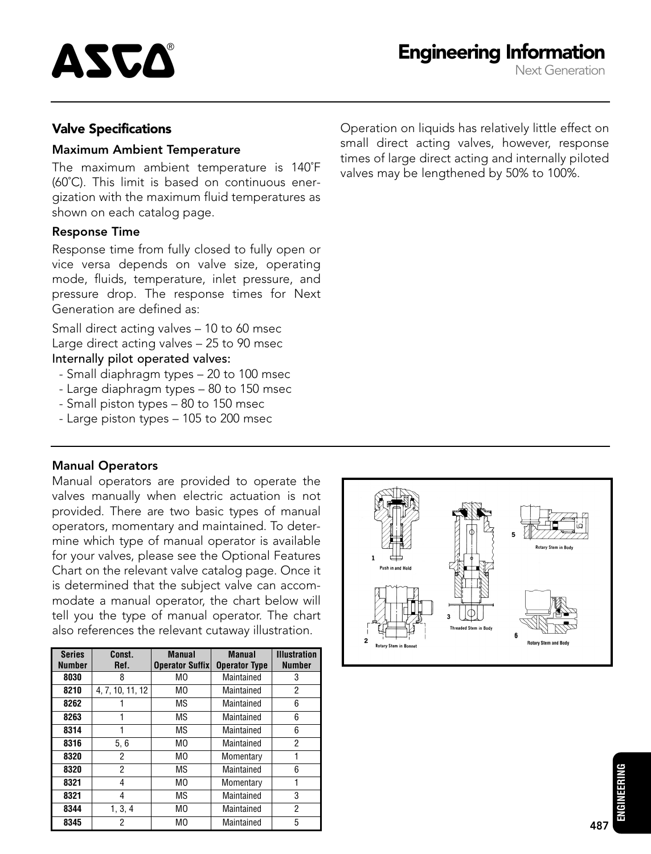

#### Valve Specifications

#### Maximum Ambient Temperature

The maximum ambient temperature is 140˚F (60˚C). This limit is based on continuous energization with the maximum fluid temperatures as shown on each catalog page.

#### Response Time

Response time from fully closed to fully open or vice versa depends on valve size, operating mode, fluids, temperature, inlet pressure, and pressure drop. The response times for Next Generation are defined as:

Small direct acting valves – 10 to 60 msec Large direct acting valves – 25 to 90 msec Internally pilot operated valves:

- Small diaphragm types 20 to 100 msec
- Large diaphragm types 80 to 150 msec
- Small piston types 80 to 150 msec
- Large piston types 105 to 200 msec

#### Manual Operators

Manual operators are provided to operate the valves manually when electric actuation is not provided. There are two basic types of manual operators, momentary and maintained. To determine which type of manual operator is available for your valves, please see the Optional Features Chart on the relevant valve catalog page. Once it is determined that the subject valve can accommodate a manual operator, the chart below will tell you the type of manual operator. The chart also references the relevant cutaway illustration.

| <b>Series</b> | Const.           | <b>Manual</b>          | <b>Manual</b>        | <b>Illustration</b> |
|---------------|------------------|------------------------|----------------------|---------------------|
| <b>Number</b> | Ref.             | <b>Operator Suffix</b> | <b>Operator Type</b> | <b>Number</b>       |
| 8030          | 8                | M0                     | Maintained           | 3                   |
| 8210          | 4, 7, 10, 11, 12 | MО                     | Maintained           | 2                   |
| 8262          |                  | ΜS                     | Maintained           | 6                   |
| 8263          |                  | ΜS                     | Maintained           | 6                   |
| 8314          |                  | ΜS                     | Maintained           | 6                   |
| 8316          | 5, 6             | M <sub>0</sub>         | Maintained           | 2                   |
| 8320          | 2                | M0                     | Momentary            |                     |
| 8320          | 2                | ΜS                     | Maintained           | 6                   |
| 8321          | 4                | M <sub>0</sub>         | Momentary            |                     |
| 8321          | 4                | ΜS                     | Maintained           | 3                   |
| 8344          | 1, 3, 4          | M0                     | Maintained           | 2                   |
| 8345          | 2                | M <sub>0</sub>         | Maintained           | 5                   |

Operation on liquids has relatively little effect on small direct acting valves, however, response times of large direct acting and internally piloted valves may be lengthened by 50% to 100%.